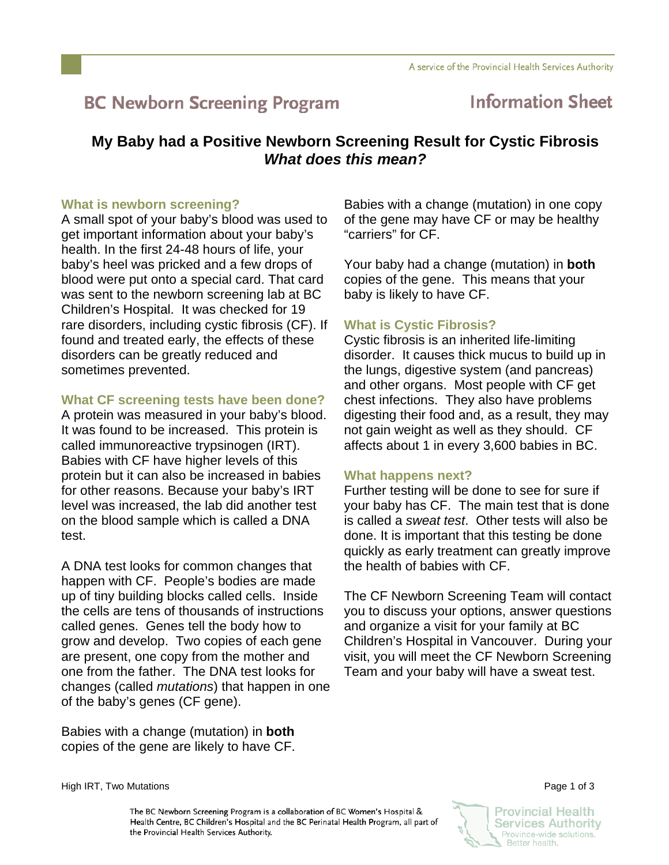# **BC Newborn Screening Program**

# **Information Sheet**

# **My Baby had a Positive Newborn Screening Result for Cystic Fibrosis**  *What does this mean?*

### **What is newborn screening?**

A small spot of your baby's blood was used to get important information about your baby's health. In the first 24-48 hours of life, your baby's heel was pricked and a few drops of blood were put onto a special card. That card was sent to the newborn screening lab at BC Children's Hospital. It was checked for 19 rare disorders, including cystic fibrosis (CF). If found and treated early, the effects of these disorders can be greatly reduced and sometimes prevented.

## **What CF screening tests have been done?**

A protein was measured in your baby's blood. It was found to be increased. This protein is called immunoreactive trypsinogen (IRT). Babies with CF have higher levels of this protein but it can also be increased in babies for other reasons. Because your baby's IRT level was increased, the lab did another test on the blood sample which is called a DNA test.

A DNA test looks for common changes that happen with CF. People's bodies are made up of tiny building blocks called cells. Inside the cells are tens of thousands of instructions called genes. Genes tell the body how to grow and develop. Two copies of each gene are present, one copy from the mother and one from the father. The DNA test looks for changes (called *mutations*) that happen in one of the baby's genes (CF gene).

Babies with a change (mutation) in **both** copies of the gene are likely to have CF.

Babies with a change (mutation) in one copy of the gene may have CF or may be healthy "carriers" for CF.

Your baby had a change (mutation) in **both** copies of the gene. This means that your baby is likely to have CF.

# **What is Cystic Fibrosis?**

Cystic fibrosis is an inherited life-limiting disorder. It causes thick mucus to build up in the lungs, digestive system (and pancreas) and other organs. Most people with CF get chest infections. They also have problems digesting their food and, as a result, they may not gain weight as well as they should. CF affects about 1 in every 3,600 babies in BC.

## **What happens next?**

Further testing will be done to see for sure if your baby has CF. The main test that is done is called a *sweat test*. Other tests will also be done. It is important that this testing be done quickly as early treatment can greatly improve the health of babies with CF.

The CF Newborn Screening Team will contact you to discuss your options, answer questions and organize a visit for your family at BC Children's Hospital in Vancouver. During your visit, you will meet the CF Newborn Screening Team and your baby will have a sweat test.

High IRT, Two Mutations Page 1 of 3

The BC Newborn Screening Program is a collaboration of BC Women's Hospital & Health Centre, BC Children's Hospital and the BC Perinatal Health Program, all part of the Provincial Health Services Authority.

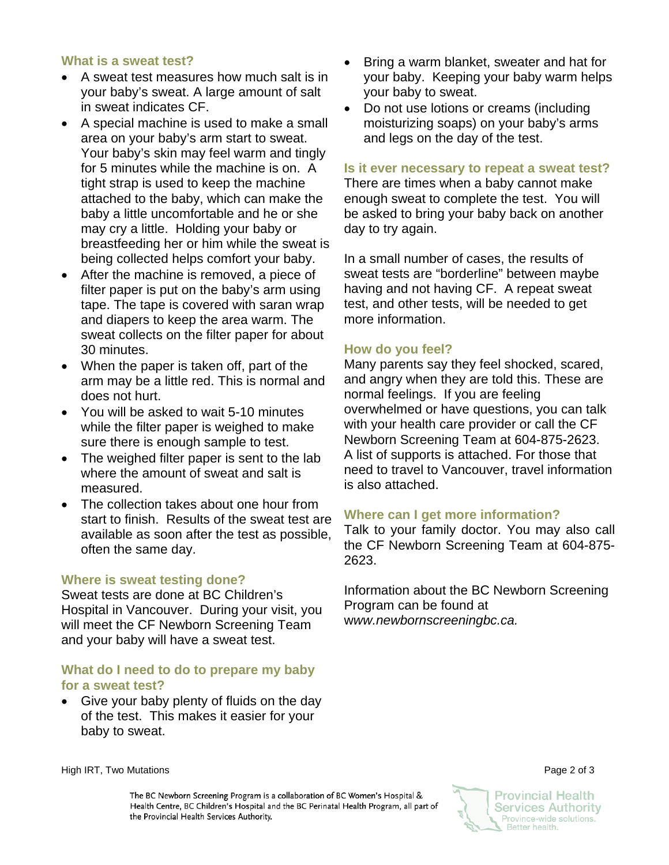#### **What is a sweat test?**

- A sweat test measures how much salt is in your baby's sweat. A large amount of salt in sweat indicates CF.
- A special machine is used to make a small area on your baby's arm start to sweat. Your baby's skin may feel warm and tingly for 5 minutes while the machine is on. A tight strap is used to keep the machine attached to the baby, which can make the baby a little uncomfortable and he or she may cry a little. Holding your baby or breastfeeding her or him while the sweat is being collected helps comfort your baby.
- After the machine is removed, a piece of filter paper is put on the baby's arm using tape. The tape is covered with saran wrap and diapers to keep the area warm. The sweat collects on the filter paper for about 30 minutes.
- When the paper is taken off, part of the arm may be a little red. This is normal and does not hurt.
- You will be asked to wait 5-10 minutes while the filter paper is weighed to make sure there is enough sample to test.
- The weighed filter paper is sent to the lab where the amount of sweat and salt is measured.
- The collection takes about one hour from start to finish. Results of the sweat test are available as soon after the test as possible, often the same day.

#### **Where is sweat testing done?**

Sweat tests are done at BC Children's Hospital in Vancouver. During your visit, you will meet the CF Newborn Screening Team and your baby will have a sweat test.

#### **What do I need to do to prepare my baby for a sweat test?**

• Give your baby plenty of fluids on the day of the test. This makes it easier for your baby to sweat.

- Bring a warm blanket, sweater and hat for your baby. Keeping your baby warm helps your baby to sweat.
- Do not use lotions or creams (including moisturizing soaps) on your baby's arms and legs on the day of the test.

#### **Is it ever necessary to repeat a sweat test?**

There are times when a baby cannot make enough sweat to complete the test. You will be asked to bring your baby back on another day to try again.

In a small number of cases, the results of sweat tests are "borderline" between maybe having and not having CF. A repeat sweat test, and other tests, will be needed to get more information.

#### **How do you feel?**

Many parents say they feel shocked, scared, and angry when they are told this. These are normal feelings. If you are feeling overwhelmed or have questions, you can talk with your health care provider or call the CF Newborn Screening Team at 604-875-2623. A list of supports is attached. For those that need to travel to Vancouver, travel information is also attached.

#### **Where can I get more information?**

Talk to your family doctor. You may also call the CF Newborn Screening Team at 604-875- 2623.

Information about the BC Newborn Screening Program can be found at w*ww.newbornscreeningbc.ca.*

High IRT, Two Mutations Page 2 of 3

The BC Newborn Screening Program is a collaboration of BC Women's Hospital & Health Centre, BC Children's Hospital and the BC Perinatal Health Program, all part of the Provincial Health Services Authority.